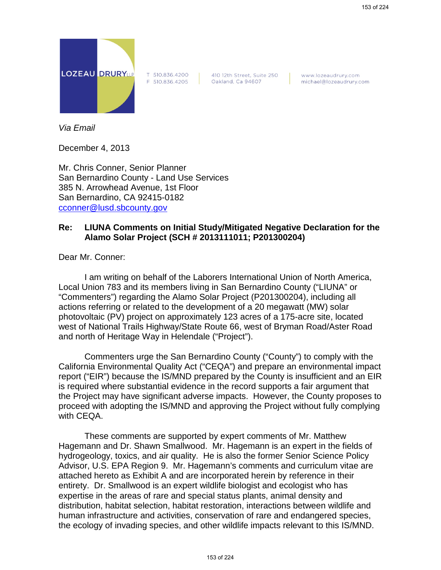

T 510.836.4200 F 510.836.4205 410 12th Street, Suite 250 Oakland, Ca 94607

www.lozeaudrury.com michael@lozeaudrury.com

*Via Email*

December 4, 2013

Mr. Chris Conner, Senior Planner San Bernardino County - Land Use Services 385 N. Arrowhead Avenue, 1st Floor San Bernardino, CA 92415-0182 cconner@lusd.sbcounty.gov

## **Re: LIUNA Comments on Initial Study/Mitigated Negative Declaration for the Alamo Solar Project (SCH # 2013111011; P201300204)**

Dear Mr. Conner:

I am writing on behalf of the Laborers International Union of North America, Local Union 783 and its members living in San Bernardino County ("LIUNA" or "Commenters") regarding the Alamo Solar Project (P201300204), including all actions referring or related to the development of a 20 megawatt (MW) solar photovoltaic (PV) project on approximately 123 acres of a 175-acre site, located west of National Trails Highway/State Route 66, west of Bryman Road/Aster Road and north of Heritage Way in Helendale ("Project").

Commenters urge the San Bernardino County ("County") to comply with the California Environmental Quality Act ("CEQA") and prepare an environmental impact report ("EIR") because the IS/MND prepared by the County is insufficient and an EIR is required where substantial evidence in the record supports a fair argument that the Project may have significant adverse impacts. However, the County proposes to proceed with adopting the IS/MND and approving the Project without fully complying with CEQA.

These comments are supported by expert comments of Mr. Matthew Hagemann and Dr. Shawn Smallwood. Mr. Hagemann is an expert in the fields of hydrogeology, toxics, and air quality. He is also the former Senior Science Policy Advisor, U.S. EPA Region 9. Mr. Hagemann's comments and curriculum vitae are attached hereto as Exhibit A and are incorporated herein by reference in their entirety. Dr. Smallwood is an expert wildlife biologist and ecologist who has expertise in the areas of rare and special status plants, animal density and distribution, habitat selection, habitat restoration, interactions between wildlife and human infrastructure and activities, conservation of rare and endangered species, the ecology of invading species, and other wildlife impacts relevant to this IS/MND.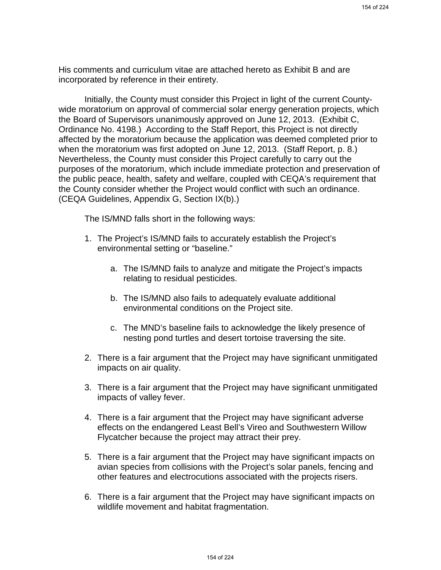His comments and curriculum vitae are attached hereto as Exhibit B and are incorporated by reference in their entirety.

Initially, the County must consider this Project in light of the current Countywide moratorium on approval of commercial solar energy generation projects, which the Board of Supervisors unanimously approved on June 12, 2013. (Exhibit C, Ordinance No. 4198.) According to the Staff Report, this Project is not directly affected by the moratorium because the application was deemed completed prior to when the moratorium was first adopted on June 12, 2013. (Staff Report, p. 8.) Nevertheless, the County must consider this Project carefully to carry out the purposes of the moratorium, which include immediate protection and preservation of the public peace, health, safety and welfare, coupled with CEQA's requirement that the County consider whether the Project would conflict with such an ordinance. (CEQA Guidelines, Appendix G, Section IX(b).)

The IS/MND falls short in the following ways:

- 1. The Project's IS/MND fails to accurately establish the Project's environmental setting or "baseline."
	- a. The IS/MND fails to analyze and mitigate the Project's impacts relating to residual pesticides.
	- b. The IS/MND also fails to adequately evaluate additional environmental conditions on the Project site.
	- c. The MND's baseline fails to acknowledge the likely presence of nesting pond turtles and desert tortoise traversing the site.
- 2. There is a fair argument that the Project may have significant unmitigated impacts on air quality.
- 3. There is a fair argument that the Project may have significant unmitigated impacts of valley fever.
- 4. There is a fair argument that the Project may have significant adverse effects on the endangered Least Bell's Vireo and Southwestern Willow Flycatcher because the project may attract their prey.
- 5. There is a fair argument that the Project may have significant impacts on avian species from collisions with the Project's solar panels, fencing and other features and electrocutions associated with the projects risers.
- 6. There is a fair argument that the Project may have significant impacts on wildlife movement and habitat fragmentation.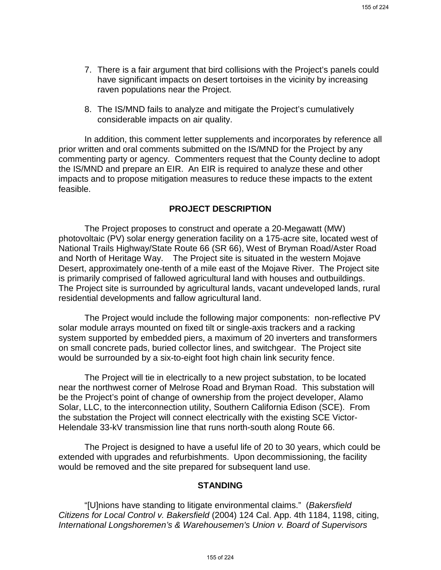- 7. There is a fair argument that bird collisions with the Project's panels could have significant impacts on desert tortoises in the vicinity by increasing raven populations near the Project.
- 8. The IS/MND fails to analyze and mitigate the Project's cumulatively considerable impacts on air quality.

In addition, this comment letter supplements and incorporates by reference all prior written and oral comments submitted on the IS/MND for the Project by any commenting party or agency. Commenters request that the County decline to adopt the IS/MND and prepare an EIR. An EIR is required to analyze these and other impacts and to propose mitigation measures to reduce these impacts to the extent feasible.

#### **PROJECT DESCRIPTION**

The Project proposes to construct and operate a 20-Megawatt (MW) photovoltaic (PV) solar energy generation facility on a 175-acre site, located west of National Trails Highway/State Route 66 (SR 66), West of Bryman Road/Aster Road and North of Heritage Way. The Project site is situated in the western Mojave Desert, approximately one-tenth of a mile east of the Mojave River. The Project site is primarily comprised of fallowed agricultural land with houses and outbuildings. The Project site is surrounded by agricultural lands, vacant undeveloped lands, rural residential developments and fallow agricultural land.

The Project would include the following major components: non-reflective PV solar module arrays mounted on fixed tilt or single-axis trackers and a racking system supported by embedded piers, a maximum of 20 inverters and transformers on small concrete pads, buried collector lines, and switchgear. The Project site would be surrounded by a six-to-eight foot high chain link security fence.

The Project will tie in electrically to a new project substation, to be located near the northwest corner of Melrose Road and Bryman Road. This substation will be the Project's point of change of ownership from the project developer, Alamo Solar, LLC, to the interconnection utility, Southern California Edison (SCE). From the substation the Project will connect electrically with the existing SCE Victor-Helendale 33-kV transmission line that runs north-south along Route 66.

The Project is designed to have a useful life of 20 to 30 years, which could be extended with upgrades and refurbishments. Upon decommissioning, the facility would be removed and the site prepared for subsequent land use.

#### **STANDING**

"[U]nions have standing to litigate environmental claims." (*Bakersfield Citizens for Local Control v. Bakersfield* (2004) 124 Cal. App. 4th 1184, 1198, citing, *International Longshoremen's & Warehousemen's Union v. Board of Supervisors*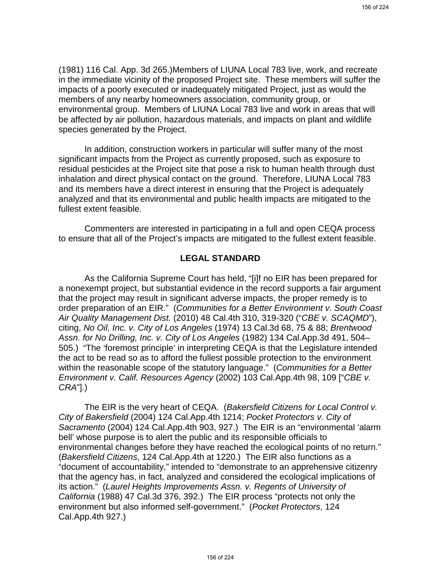(1981) 116 Cal. App. 3d 265.)Members of LIUNA Local 783 live, work, and recreate in the immediate vicinity of the proposed Project site. These members will suffer the impacts of a poorly executed or inadequately mitigated Project, just as would the members of any nearby homeowners association, community group, or environmental group. Members of LIUNA Local 783 live and work in areas that will be affected by air pollution, hazardous materials, and impacts on plant and wildlife species generated by the Project.

In addition, construction workers in particular will suffer many of the most significant impacts from the Project as currently proposed, such as exposure to residual pesticides at the Project site that pose a risk to human health through dust inhalation and direct physical contact on the ground. Therefore, LIUNA Local 783 and its members have a direct interest in ensuring that the Project is adequately analyzed and that its environmental and public health impacts are mitigated to the fullest extent feasible.

Commenters are interested in participating in a full and open CEQA process to ensure that all of the Project's impacts are mitigated to the fullest extent feasible.

#### **LEGAL STANDARD**

As the California Supreme Court has held, "[i]f no EIR has been prepared for a nonexempt project, but substantial evidence in the record supports a fair argument that the project may result in significant adverse impacts, the proper remedy is to order preparation of an EIR." (*Communities for a Better Environment v. South Coast Air Quality Management Dist.* (2010) 48 Cal.4th 310, 319-320 ("*CBE v. SCAQMD*"), citing, *No Oil, Inc. v. City of Los Angeles* (1974) 13 Cal.3d 68, 75 & 88; *Brentwood Assn. for No Drilling, Inc. v. City of Los Angeles* (1982) 134 Cal.App.3d 491, 504– 505.) "The 'foremost principle' in interpreting CEQA is that the Legislature intended the act to be read so as to afford the fullest possible protection to the environment within the reasonable scope of the statutory language." (*Communities for a Better Environment v. Calif. Resources Agency* (2002) 103 Cal.App.4th 98, 109 ["*CBE v. CRA*"].)

The EIR is the very heart of CEQA. (*Bakersfield Citizens for Local Control v. City of Bakersfield* (2004) 124 Cal.App.4th 1214; *Pocket Protectors v. City of Sacramento* (2004) 124 Cal.App.4th 903, 927.) The EIR is an "environmental 'alarm bell' whose purpose is to alert the public and its responsible officials to environmental changes before they have reached the ecological points of no return." (*Bakersfield Citizens*, 124 Cal.App.4th at 1220.) The EIR also functions as a "document of accountability," intended to "demonstrate to an apprehensive citizenry that the agency has, in fact, analyzed and considered the ecological implications of its action." (*Laurel Heights Improvements Assn. v. Regents of University of California* (1988) 47 Cal.3d 376, 392.) The EIR process "protects not only the environment but also informed self-government." (*Pocket Protectors*, 124 Cal.App.4th 927.)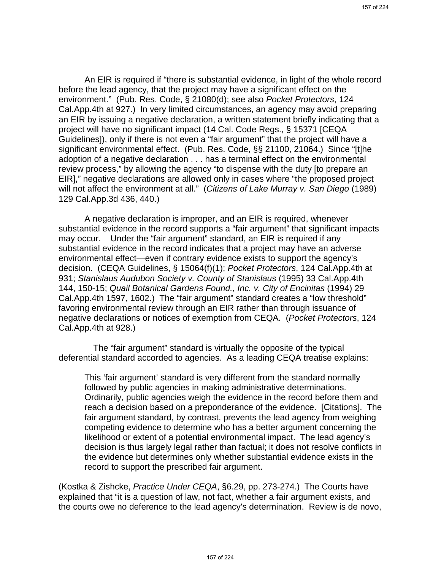An EIR is required if "there is substantial evidence, in light of the whole record before the lead agency, that the project may have a significant effect on the environment." (Pub. Res. Code, § 21080(d); see also *Pocket Protectors*, 124 Cal.App.4th at 927.) In very limited circumstances, an agency may avoid preparing an EIR by issuing a negative declaration, a written statement briefly indicating that a project will have no significant impact (14 Cal. Code Regs., § 15371 [CEQA Guidelines]), only if there is not even a "fair argument" that the project will have a significant environmental effect. (Pub. Res. Code, §§ 21100, 21064.) Since "[t]he adoption of a negative declaration . . . has a terminal effect on the environmental review process," by allowing the agency "to dispense with the duty [to prepare an EIR]," negative declarations are allowed only in cases where "the proposed project will not affect the environment at all." (*Citizens of Lake Murray v. San Diego* (1989) 129 Cal.App.3d 436, 440.)

A negative declaration is improper, and an EIR is required, whenever substantial evidence in the record supports a "fair argument" that significant impacts may occur. Under the "fair argument" standard, an EIR is required if any substantial evidence in the record indicates that a project may have an adverse environmental effect—even if contrary evidence exists to support the agency's decision. (CEQA Guidelines, § 15064(f)(1); *Pocket Protectors*, 124 Cal.App.4th at 931; *Stanislaus Audubon Society v. County of Stanislaus* (1995) 33 Cal.App.4th 144, 150-15; *Quail Botanical Gardens Found., Inc. v. City of Encinitas* (1994) 29 Cal.App.4th 1597, 1602.) The "fair argument" standard creates a "low threshold" favoring environmental review through an EIR rather than through issuance of negative declarations or notices of exemption from CEQA. (*Pocket Protectors*, 124 Cal.App.4th at 928.)

The "fair argument" standard is virtually the opposite of the typical deferential standard accorded to agencies. As a leading CEQA treatise explains:

This 'fair argument' standard is very different from the standard normally followed by public agencies in making administrative determinations. Ordinarily, public agencies weigh the evidence in the record before them and reach a decision based on a preponderance of the evidence. [Citations]. The fair argument standard, by contrast, prevents the lead agency from weighing competing evidence to determine who has a better argument concerning the likelihood or extent of a potential environmental impact. The lead agency's decision is thus largely legal rather than factual; it does not resolve conflicts in the evidence but determines only whether substantial evidence exists in the record to support the prescribed fair argument.

(Kostka & Zishcke, *Practice Under CEQA*, §6.29, pp. 273-274.) The Courts have explained that "it is a question of law, not fact, whether a fair argument exists, and the courts owe no deference to the lead agency's determination. Review is de novo,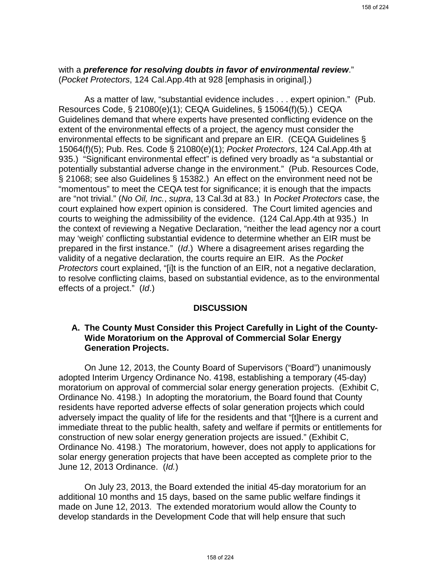with a *preference for resolving doubts in favor of environmental review*." (*Pocket Protectors*, 124 Cal.App.4th at 928 [emphasis in original].)

As a matter of law, "substantial evidence includes . . . expert opinion." (Pub. Resources Code, § 21080(e)(1); CEQA Guidelines, § 15064(f)(5).) CEQA Guidelines demand that where experts have presented conflicting evidence on the extent of the environmental effects of a project, the agency must consider the environmental effects to be significant and prepare an EIR. (CEQA Guidelines § 15064(f)(5); Pub. Res. Code § 21080(e)(1); *Pocket Protectors*, 124 Cal.App.4th at 935.) "Significant environmental effect" is defined very broadly as "a substantial or potentially substantial adverse change in the environment." (Pub. Resources Code, § 21068; see also Guidelines § 15382.) An effect on the environment need not be "momentous" to meet the CEQA test for significance; it is enough that the impacts are "not trivial." (*No Oil, Inc.*, *supra*, 13 Cal.3d at 83.) In *Pocket Protectors* case, the court explained how expert opinion is considered. The Court limited agencies and courts to weighing the admissibility of the evidence. (124 Cal.App.4th at 935.) In the context of reviewing a Negative Declaration, "neither the lead agency nor a court may 'weigh' conflicting substantial evidence to determine whether an EIR must be prepared in the first instance." (*Id*.) Where a disagreement arises regarding the validity of a negative declaration, the courts require an EIR. As the *Pocket Protectors* court explained, "[i]t is the function of an EIR, not a negative declaration, to resolve conflicting claims, based on substantial evidence, as to the environmental effects of a project." (*Id*.)

#### **DISCUSSION**

### **A. The County Must Consider this Project Carefully in Light of the County-Wide Moratorium on the Approval of Commercial Solar Energy Generation Projects.**

On June 12, 2013, the County Board of Supervisors ("Board") unanimously adopted Interim Urgency Ordinance No. 4198, establishing a temporary (45-day) moratorium on approval of commercial solar energy generation projects. (Exhibit C, Ordinance No. 4198.) In adopting the moratorium, the Board found that County residents have reported adverse effects of solar generation projects which could adversely impact the quality of life for the residents and that "[t]here is a current and immediate threat to the public health, safety and welfare if permits or entitlements for construction of new solar energy generation projects are issued." (Exhibit C, Ordinance No. 4198.) The moratorium, however, does not apply to applications for solar energy generation projects that have been accepted as complete prior to the June 12, 2013 Ordinance. (*Id.*)

On July 23, 2013, the Board extended the initial 45-day moratorium for an additional 10 months and 15 days, based on the same public welfare findings it made on June 12, 2013. The extended moratorium would allow the County to develop standards in the Development Code that will help ensure that such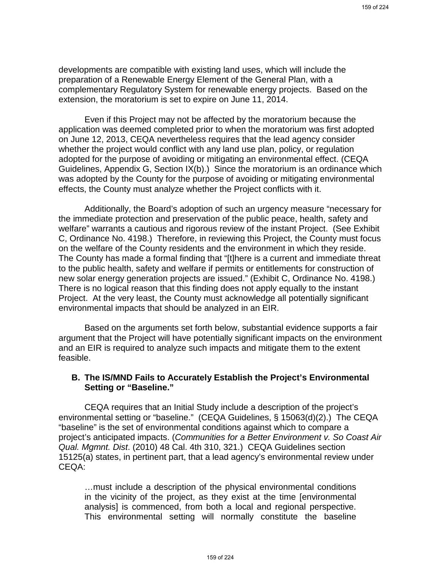developments are compatible with existing land uses, which will include the preparation of a Renewable Energy Element of the General Plan, with a complementary Regulatory System for renewable energy projects. Based on the extension, the moratorium is set to expire on June 11, 2014.

Even if this Project may not be affected by the moratorium because the application was deemed completed prior to when the moratorium was first adopted on June 12, 2013, CEQA nevertheless requires that the lead agency consider whether the project would conflict with any land use plan, policy, or regulation adopted for the purpose of avoiding or mitigating an environmental effect. (CEQA Guidelines, Appendix G, Section IX(b).) Since the moratorium is an ordinance which was adopted by the County for the purpose of avoiding or mitigating environmental effects, the County must analyze whether the Project conflicts with it.

Additionally, the Board's adoption of such an urgency measure "necessary for the immediate protection and preservation of the public peace, health, safety and welfare" warrants a cautious and rigorous review of the instant Project. (See Exhibit C, Ordinance No. 4198.) Therefore, in reviewing this Project, the County must focus on the welfare of the County residents and the environment in which they reside. The County has made a formal finding that "[t]here is a current and immediate threat to the public health, safety and welfare if permits or entitlements for construction of new solar energy generation projects are issued." (Exhibit C, Ordinance No. 4198.) There is no logical reason that this finding does not apply equally to the instant Project. At the very least, the County must acknowledge all potentially significant environmental impacts that should be analyzed in an EIR.

Based on the arguments set forth below, substantial evidence supports a fair argument that the Project will have potentially significant impacts on the environment and an EIR is required to analyze such impacts and mitigate them to the extent feasible.

## **B. The IS/MND Fails to Accurately Establish the Project's Environmental Setting or "Baseline."**

CEQA requires that an Initial Study include a description of the project's environmental setting or "baseline." (CEQA Guidelines, § 15063(d)(2).) The CEQA "baseline" is the set of environmental conditions against which to compare a project's anticipated impacts. (*Communities for a Better Environment v. So Coast Air Qual. Mgmnt. Dist*. (2010) 48 Cal. 4th 310, 321.) CEQA Guidelines section 15125(a) states, in pertinent part, that a lead agency's environmental review under CEQA:

…must include a description of the physical environmental conditions in the vicinity of the project, as they exist at the time [environmental analysis] is commenced, from both a local and regional perspective. This environmental setting will normally constitute the baseline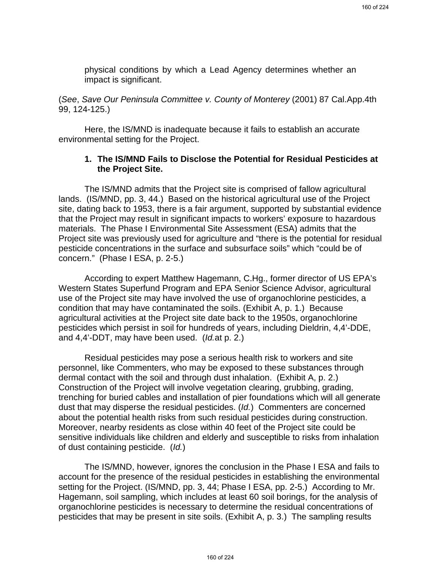physical conditions by which a Lead Agency determines whether an impact is significant.

(*See*, *Save Our Peninsula Committee v. County of Monterey* (2001) 87 Cal.App.4th 99, 124-125.)

Here, the IS/MND is inadequate because it fails to establish an accurate environmental setting for the Project.

### **1. The IS/MND Fails to Disclose the Potential for Residual Pesticides at the Project Site.**

The IS/MND admits that the Project site is comprised of fallow agricultural lands. (IS/MND, pp. 3, 44.) Based on the historical agricultural use of the Project site, dating back to 1953, there is a fair argument, supported by substantial evidence that the Project may result in significant impacts to workers' exposure to hazardous materials. The Phase I Environmental Site Assessment (ESA) admits that the Project site was previously used for agriculture and "there is the potential for residual pesticide concentrations in the surface and subsurface soils" which "could be of concern." (Phase I ESA, p. 2-5.)

According to expert Matthew Hagemann, C.Hg., former director of US EPA's Western States Superfund Program and EPA Senior Science Advisor, agricultural use of the Project site may have involved the use of organochlorine pesticides, a condition that may have contaminated the soils. (Exhibit A, p. 1.) Because agricultural activities at the Project site date back to the 1950s, organochlorine pesticides which persist in soil for hundreds of years, including Dieldrin, 4,4'-DDE, and 4,4'-DDT, may have been used. (*Id.*at p. 2.)

Residual pesticides may pose a serious health risk to workers and site personnel, like Commenters, who may be exposed to these substances through dermal contact with the soil and through dust inhalation. (Exhibit A, p. 2.) Construction of the Project will involve vegetation clearing, grubbing, grading, trenching for buried cables and installation of pier foundations which will all generate dust that may disperse the residual pesticides. (*Id.*) Commenters are concerned about the potential health risks from such residual pesticides during construction. Moreover, nearby residents as close within 40 feet of the Project site could be sensitive individuals like children and elderly and susceptible to risks from inhalation of dust containing pesticide. (*Id.*)

The IS/MND, however, ignores the conclusion in the Phase I ESA and fails to account for the presence of the residual pesticides in establishing the environmental setting for the Project. (IS/MND, pp. 3, 44; Phase I ESA, pp. 2-5.) According to Mr. Hagemann, soil sampling, which includes at least 60 soil borings, for the analysis of organochlorine pesticides is necessary to determine the residual concentrations of pesticides that may be present in site soils. (Exhibit A, p. 3.) The sampling results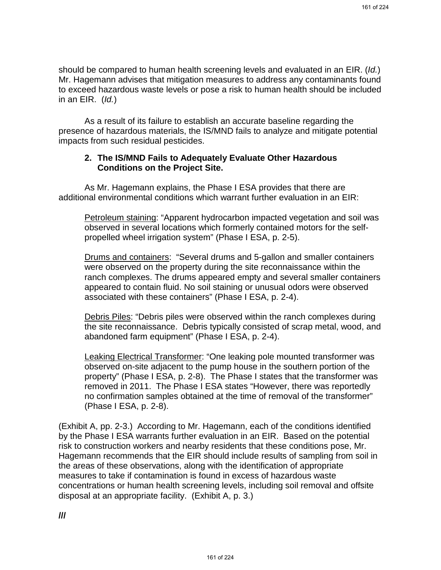should be compared to human health screening levels and evaluated in an EIR. (*Id.*) Mr. Hagemann advises that mitigation measures to address any contaminants found to exceed hazardous waste levels or pose a risk to human health should be included in an EIR. (*Id.*)

As a result of its failure to establish an accurate baseline regarding the presence of hazardous materials, the IS/MND fails to analyze and mitigate potential impacts from such residual pesticides.

### **2. The IS/MND Fails to Adequately Evaluate Other Hazardous Conditions on the Project Site.**

As Mr. Hagemann explains, the Phase I ESA provides that there are additional environmental conditions which warrant further evaluation in an EIR:

Petroleum staining: "Apparent hydrocarbon impacted vegetation and soil was observed in several locations which formerly contained motors for the selfpropelled wheel irrigation system" (Phase I ESA, p. 2-5).

Drums and containers: "Several drums and 5-gallon and smaller containers were observed on the property during the site reconnaissance within the ranch complexes. The drums appeared empty and several smaller containers appeared to contain fluid. No soil staining or unusual odors were observed associated with these containers" (Phase I ESA, p. 2-4).

Debris Piles: "Debris piles were observed within the ranch complexes during the site reconnaissance. Debris typically consisted of scrap metal, wood, and abandoned farm equipment" (Phase I ESA, p. 2-4).

Leaking Electrical Transformer: "One leaking pole mounted transformer was observed on-site adjacent to the pump house in the southern portion of the property" (Phase I ESA, p. 2-8). The Phase I states that the transformer was removed in 2011. The Phase I ESA states "However, there was reportedly no confirmation samples obtained at the time of removal of the transformer" (Phase I ESA, p. 2-8).

(Exhibit A, pp. 2-3.) According to Mr. Hagemann, each of the conditions identified by the Phase I ESA warrants further evaluation in an EIR. Based on the potential risk to construction workers and nearby residents that these conditions pose, Mr. Hagemann recommends that the EIR should include results of sampling from soil in the areas of these observations, along with the identification of appropriate measures to take if contamination is found in excess of hazardous waste concentrations or human health screening levels, including soil removal and offsite disposal at an appropriate facility. (Exhibit A, p. 3.)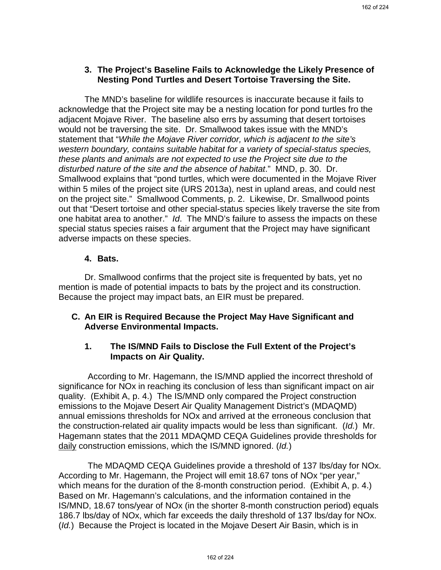# **3. The Project's Baseline Fails to Acknowledge the Likely Presence of Nesting Pond Turtles and Desert Tortoise Traversing the Site.**

The MND's baseline for wildlife resources is inaccurate because it fails to acknowledge that the Project site may be a nesting location for pond turtles fro the adjacent Mojave River. The baseline also errs by assuming that desert tortoises would not be traversing the site. Dr. Smallwood takes issue with the MND's statement that "*While the Mojave River corridor, which is adjacent to the site's western boundary, contains suitable habitat for a variety of special-status species, these plants and animals are not expected to use the Project site due to the disturbed nature of the site and the absence of habitat*." MND, p. 30. Dr. Smallwood explains that "pond turtles, which were documented in the Mojave River within 5 miles of the project site (URS 2013a), nest in upland areas, and could nest on the project site." Smallwood Comments, p. 2. Likewise, Dr. Smallwood points out that "Desert tortoise and other special-status species likely traverse the site from one habitat area to another." *Id*. The MND's failure to assess the impacts on these special status species raises a fair argument that the Project may have significant adverse impacts on these species.

## **4. Bats.**

Dr. Smallwood confirms that the project site is frequented by bats, yet no mention is made of potential impacts to bats by the project and its construction. Because the project may impact bats, an EIR must be prepared.

# **C. An EIR is Required Because the Project May Have Significant and Adverse Environmental Impacts.**

# **1. The IS/MND Fails to Disclose the Full Extent of the Project's Impacts on Air Quality.**

According to Mr. Hagemann, the IS/MND applied the incorrect threshold of significance for NOx in reaching its conclusion of less than significant impact on air quality. (Exhibit A, p. 4.) The IS/MND only compared the Project construction emissions to the Mojave Desert Air Quality Management District's (MDAQMD) annual emissions thresholds for NOx and arrived at the erroneous conclusion that the construction-related air quality impacts would be less than significant. (*Id.*) Mr. Hagemann states that the 2011 MDAQMD CEQA Guidelines provide thresholds for daily construction emissions, which the IS/MND ignored. (*Id.*)

The MDAQMD CEQA Guidelines provide a threshold of 137 lbs/day for NOx. According to Mr. Hagemann, the Project will emit 18.67 tons of NOx "per year," which means for the duration of the 8-month construction period. (Exhibit A, p. 4.) Based on Mr. Hagemann's calculations, and the information contained in the IS/MND, 18.67 tons/year of NOx (in the shorter 8-month construction period) equals 186.7 lbs/day of NOx, which far exceeds the daily threshold of 137 lbs/day for NOx. (*Id.*) Because the Project is located in the Mojave Desert Air Basin, which is in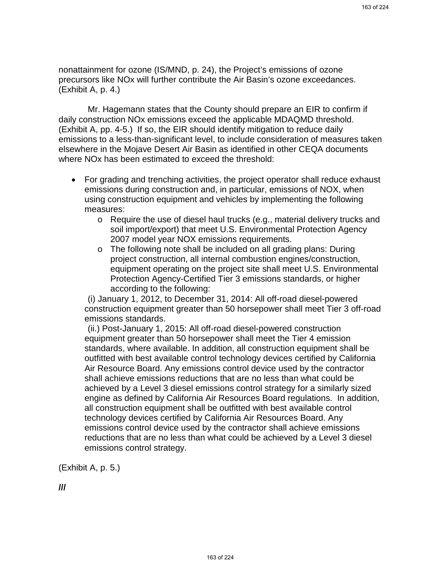nonattainment for ozone (IS/MND, p. 24), the Project's emissions of ozone precursors like NOx will further contribute the Air Basin's ozone exceedances. (Exhibit A, p. 4.)

Mr. Hagemann states that the County should prepare an EIR to confirm if daily construction NOx emissions exceed the applicable MDAQMD threshold. (Exhibit A, pp. 4-5.) If so, the EIR should identify mitigation to reduce daily emissions to a less-than-significant level, to include consideration of measures taken elsewhere in the Mojave Desert Air Basin as identified in other CEQA documents where NOx has been estimated to exceed the threshold:

- For grading and trenching activities, the project operator shall reduce exhaust emissions during construction and, in particular, emissions of NOX, when using construction equipment and vehicles by implementing the following measures:
	- o Require the use of diesel haul trucks (e.g., material delivery trucks and soil import/export) that meet U.S. Environmental Protection Agency 2007 model year NOX emissions requirements.
	- o The following note shall be included on all grading plans: During project construction, all internal combustion engines/construction, equipment operating on the project site shall meet U.S. Environmental Protection Agency-Certified Tier 3 emissions standards, or higher according to the following:

(i) January 1, 2012, to December 31, 2014: All off-road diesel-powered construction equipment greater than 50 horsepower shall meet Tier 3 off-road emissions standards.

(ii.) Post-January 1, 2015: All off-road diesel-powered construction equipment greater than 50 horsepower shall meet the Tier 4 emission standards, where available. In addition, all construction equipment shall be outfitted with best available control technology devices certified by California Air Resource Board. Any emissions control device used by the contractor shall achieve emissions reductions that are no less than what could be achieved by a Level 3 diesel emissions control strategy for a similarly sized engine as defined by California Air Resources Board regulations. In addition, all construction equipment shall be outfitted with best available control technology devices certified by California Air Resources Board. Any emissions control device used by the contractor shall achieve emissions reductions that are no less than what could be achieved by a Level 3 diesel emissions control strategy.

(Exhibit A, p. 5.)

**///**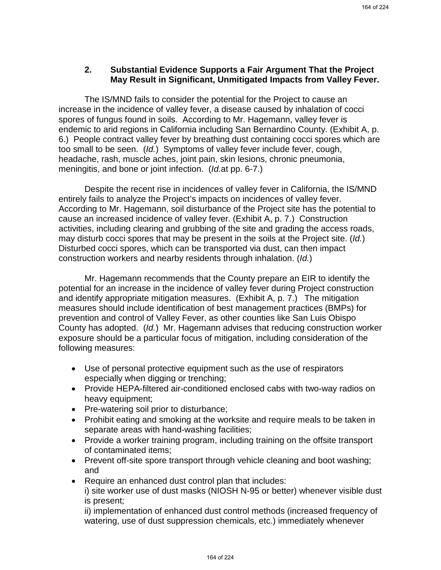## **2. Substantial Evidence Supports a Fair Argument That the Project May Result in Significant, Unmitigated Impacts from Valley Fever.**

The IS/MND fails to consider the potential for the Project to cause an increase in the incidence of valley fever, a disease caused by inhalation of cocci spores of fungus found in soils. According to Mr. Hagemann, valley fever is endemic to arid regions in California including San Bernardino County. (Exhibit A, p. 6.) People contract valley fever by breathing dust containing cocci spores which are too small to be seen. (*Id.*) Symptoms of valley fever include fever, cough, headache, rash, muscle aches, joint pain, skin lesions, chronic pneumonia, meningitis, and bone or joint infection. (*Id.*at pp. 6-7.)

Despite the recent rise in incidences of valley fever in California, the IS/MND entirely fails to analyze the Project's impacts on incidences of valley fever. According to Mr. Hagemann, soil disturbance of the Project site has the potential to cause an increased incidence of valley fever. (Exhibit A, p. 7.) Construction activities, including clearing and grubbing of the site and grading the access roads, may disturb cocci spores that may be present in the soils at the Project site. (*Id.*) Disturbed cocci spores, which can be transported via dust, can then impact construction workers and nearby residents through inhalation. (*Id.*)

Mr. Hagemann recommends that the County prepare an EIR to identify the potential for an increase in the incidence of valley fever during Project construction and identify appropriate mitigation measures. (Exhibit A, p. 7.) The mitigation measures should include identification of best management practices (BMPs) for prevention and control of Valley Fever, as other counties like San Luis Obispo County has adopted. (*Id.*) Mr. Hagemann advises that reducing construction worker exposure should be a particular focus of mitigation, including consideration of the following measures:

- Use of personal protective equipment such as the use of respirators especially when digging or trenching;
- Provide HEPA-filtered air-conditioned enclosed cabs with two-way radios on heavy equipment;
- Pre-watering soil prior to disturbance;
- Prohibit eating and smoking at the worksite and require meals to be taken in separate areas with hand-washing facilities;
- Provide a worker training program, including training on the offsite transport of contaminated items;
- Prevent off-site spore transport through vehicle cleaning and boot washing; and
- Require an enhanced dust control plan that includes: i) site worker use of dust masks (NIOSH N-95 or better) whenever visible dust is present;

ii) implementation of enhanced dust control methods (increased frequency of watering, use of dust suppression chemicals, etc.) immediately whenever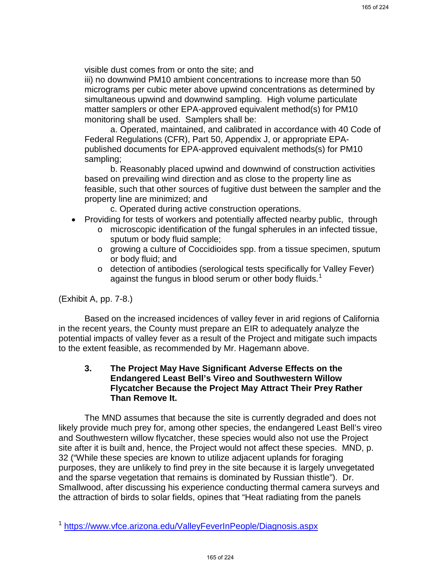visible dust comes from or onto the site; and

iii) no downwind PM10 ambient concentrations to increase more than 50 micrograms per cubic meter above upwind concentrations as determined by simultaneous upwind and downwind sampling. High volume particulate matter samplers or other EPA-approved equivalent method(s) for PM10 monitoring shall be used. Samplers shall be:

a. Operated, maintained, and calibrated in accordance with 40 Code of Federal Regulations (CFR), Part 50, Appendix J, or appropriate EPApublished documents for EPA-approved equivalent methods(s) for PM10 sampling;

b. Reasonably placed upwind and downwind of construction activities based on prevailing wind direction and as close to the property line as feasible, such that other sources of fugitive dust between the sampler and the property line are minimized; and

c. Operated during active construction operations.

- Providing for tests of workers and potentially affected nearby public, through
	- o microscopic identification of the fungal spherules in an infected tissue, sputum or body fluid sample;
	- o growing a culture of Coccidioides spp. from a tissue specimen, sputum or body fluid; and
	- o detection of antibodies (serological tests specifically for Valley Fever) against the fungus in blood serum or other body fluids.<sup>1</sup>

(Exhibit A, pp. 7-8.)

Based on the increased incidences of valley fever in arid regions of California in the recent years, the County must prepare an EIR to adequately analyze the potential impacts of valley fever as a result of the Project and mitigate such impacts to the extent feasible, as recommended by Mr. Hagemann above.

## **3. The Project May Have Significant Adverse Effects on the Endangered Least Bell's Vireo and Southwestern Willow Flycatcher Because the Project May Attract Their Prey Rather Than Remove It.**

The MND assumes that because the site is currently degraded and does not likely provide much prey for, among other species, the endangered Least Bell's vireo and Southwestern willow flycatcher, these species would also not use the Project site after it is built and, hence, the Project would not affect these species. MND, p. 32 ("While these species are known to utilize adjacent uplands for foraging purposes, they are unlikely to find prey in the site because it is largely unvegetated and the sparse vegetation that remains is dominated by Russian thistle"). Dr. Smallwood, after discussing his experience conducting thermal camera surveys and the attraction of birds to solar fields, opines that "Heat radiating from the panels

<sup>1</sup> https://www.vfce.arizona.edu/ValleyFeverInPeople/Diagnosis.aspx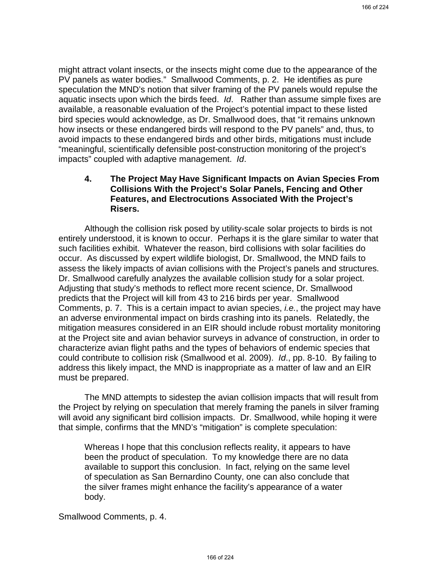might attract volant insects, or the insects might come due to the appearance of the PV panels as water bodies." Smallwood Comments, p. 2. He identifies as pure speculation the MND's notion that silver framing of the PV panels would repulse the aquatic insects upon which the birds feed. *Id*. Rather than assume simple fixes are available, a reasonable evaluation of the Project's potential impact to these listed bird species would acknowledge, as Dr. Smallwood does, that "it remains unknown how insects or these endangered birds will respond to the PV panels" and, thus, to avoid impacts to these endangered birds and other birds, mitigations must include "meaningful, scientifically defensible post-construction monitoring of the project's impacts" coupled with adaptive management. *Id*.

## **4. The Project May Have Significant Impacts on Avian Species From Collisions With the Project's Solar Panels, Fencing and Other Features, and Electrocutions Associated With the Project's Risers.**

Although the collision risk posed by utility-scale solar projects to birds is not entirely understood, it is known to occur. Perhaps it is the glare similar to water that such facilities exhibit. Whatever the reason, bird collisions with solar facilities do occur. As discussed by expert wildlife biologist, Dr. Smallwood, the MND fails to assess the likely impacts of avian collisions with the Project's panels and structures. Dr. Smallwood carefully analyzes the available collision study for a solar project. Adjusting that study's methods to reflect more recent science, Dr. Smallwood predicts that the Project will kill from 43 to 216 birds per year. Smallwood Comments, p. 7. This is a certain impact to avian species, *i.e.*, the project may have an adverse environmental impact on birds crashing into its panels. Relatedly, the mitigation measures considered in an EIR should include robust mortality monitoring at the Project site and avian behavior surveys in advance of construction, in order to characterize avian flight paths and the types of behaviors of endemic species that could contribute to collision risk (Smallwood et al. 2009). *Id*., pp. 8-10. By failing to address this likely impact, the MND is inappropriate as a matter of law and an EIR must be prepared.

The MND attempts to sidestep the avian collision impacts that will result from the Project by relying on speculation that merely framing the panels in silver framing will avoid any significant bird collision impacts. Dr. Smallwood, while hoping it were that simple, confirms that the MND's "mitigation" is complete speculation:

Whereas I hope that this conclusion reflects reality, it appears to have been the product of speculation. To my knowledge there are no data available to support this conclusion. In fact, relying on the same level of speculation as San Bernardino County, one can also conclude that the silver frames might enhance the facility's appearance of a water body.

Smallwood Comments, p. 4.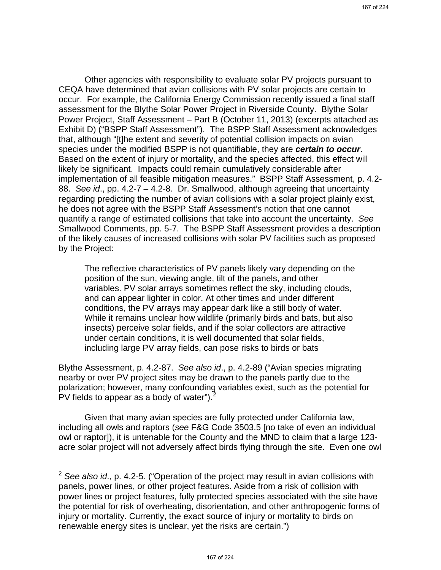Other agencies with responsibility to evaluate solar PV projects pursuant to CEQA have determined that avian collisions with PV solar projects are certain to occur. For example, the California Energy Commission recently issued a final staff assessment for the Blythe Solar Power Project in Riverside County. Blythe Solar Power Project, Staff Assessment – Part B (October 11, 2013) (excerpts attached as Exhibit D) ("BSPP Staff Assessment"). The BSPP Staff Assessment acknowledges that, although "[t]he extent and severity of potential collision impacts on avian species under the modified BSPP is not quantifiable, they are *certain to occur*. Based on the extent of injury or mortality, and the species affected, this effect will likely be significant. Impacts could remain cumulatively considerable after implementation of all feasible mitigation measures." BSPP Staff Assessment, p. 4.2- 88. *See id*., pp. 4.2-7 – 4.2-8. Dr. Smallwood, although agreeing that uncertainty regarding predicting the number of avian collisions with a solar project plainly exist, he does not agree with the BSPP Staff Assessment's notion that one cannot quantify a range of estimated collisions that take into account the uncertainty. *See*  Smallwood Comments, pp. 5-7. The BSPP Staff Assessment provides a description of the likely causes of increased collisions with solar PV facilities such as proposed by the Project:

The reflective characteristics of PV panels likely vary depending on the position of the sun, viewing angle, tilt of the panels, and other variables. PV solar arrays sometimes reflect the sky, including clouds, and can appear lighter in color. At other times and under different conditions, the PV arrays may appear dark like a still body of water. While it remains unclear how wildlife (primarily birds and bats, but also insects) perceive solar fields, and if the solar collectors are attractive under certain conditions, it is well documented that solar fields, including large PV array fields, can pose risks to birds or bats

Blythe Assessment, p. 4.2-87. *See also id*., p. 4.2-89 ("Avian species migrating nearby or over PV project sites may be drawn to the panels partly due to the polarization; however, many confounding variables exist, such as the potential for PV fields to appear as a body of water"). $^{2}$ 

Given that many avian species are fully protected under California law, including all owls and raptors (*see* F&G Code 3503.5 [no take of even an individual owl or raptor]), it is untenable for the County and the MND to claim that a large 123 acre solar project will not adversely affect birds flying through the site. Even one owl

<sup>2</sup> *See also id*., p. 4.2-5. ("Operation of the project may result in avian collisions with panels, power lines, or other project features. Aside from a risk of collision with power lines or project features, fully protected species associated with the site have the potential for risk of overheating, disorientation, and other anthropogenic forms of injury or mortality. Currently, the exact source of injury or mortality to birds on renewable energy sites is unclear, yet the risks are certain.")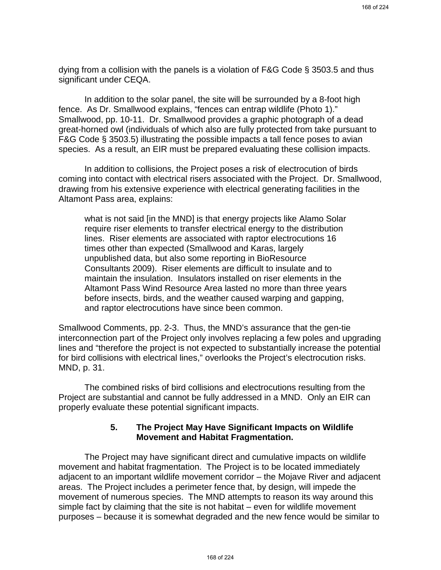dying from a collision with the panels is a violation of F&G Code § 3503.5 and thus significant under CEQA.

In addition to the solar panel, the site will be surrounded by a 8-foot high fence. As Dr. Smallwood explains, "fences can entrap wildlife (Photo 1)." Smallwood, pp. 10-11. Dr. Smallwood provides a graphic photograph of a dead great-horned owl (individuals of which also are fully protected from take pursuant to F&G Code § 3503.5) illustrating the possible impacts a tall fence poses to avian species. As a result, an EIR must be prepared evaluating these collision impacts.

In addition to collisions, the Project poses a risk of electrocution of birds coming into contact with electrical risers associated with the Project. Dr. Smallwood, drawing from his extensive experience with electrical generating facilities in the Altamont Pass area, explains:

what is not said [in the MND] is that energy projects like Alamo Solar require riser elements to transfer electrical energy to the distribution lines. Riser elements are associated with raptor electrocutions 16 times other than expected (Smallwood and Karas, largely unpublished data, but also some reporting in BioResource Consultants 2009). Riser elements are difficult to insulate and to maintain the insulation. Insulators installed on riser elements in the Altamont Pass Wind Resource Area lasted no more than three years before insects, birds, and the weather caused warping and gapping, and raptor electrocutions have since been common.

Smallwood Comments, pp. 2-3. Thus, the MND's assurance that the gen-tie interconnection part of the Project only involves replacing a few poles and upgrading lines and "therefore the project is not expected to substantially increase the potential for bird collisions with electrical lines," overlooks the Project's electrocution risks. MND, p. 31.

The combined risks of bird collisions and electrocutions resulting from the Project are substantial and cannot be fully addressed in a MND. Only an EIR can properly evaluate these potential significant impacts.

# **5. The Project May Have Significant Impacts on Wildlife Movement and Habitat Fragmentation.**

The Project may have significant direct and cumulative impacts on wildlife movement and habitat fragmentation. The Project is to be located immediately adjacent to an important wildlife movement corridor – the Mojave River and adjacent areas. The Project includes a perimeter fence that, by design, will impede the movement of numerous species. The MND attempts to reason its way around this simple fact by claiming that the site is not habitat – even for wildlife movement purposes – because it is somewhat degraded and the new fence would be similar to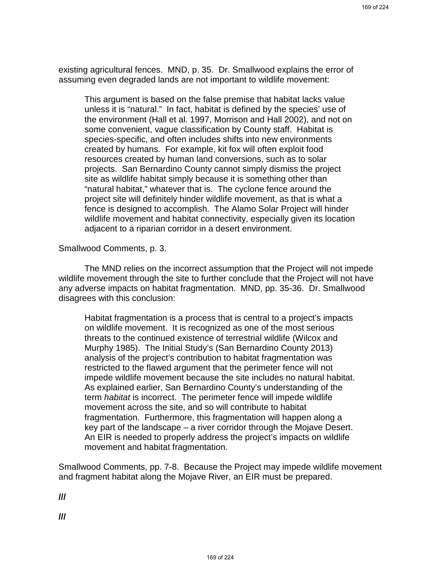existing agricultural fences. MND, p. 35. Dr. Smallwood explains the error of assuming even degraded lands are not important to wildlife movement:

This argument is based on the false premise that habitat lacks value unless it is "natural." In fact, habitat is defined by the species' use of the environment (Hall et al. 1997, Morrison and Hall 2002), and not on some convenient, vague classification by County staff. Habitat is species-specific, and often includes shifts into new environments created by humans. For example, kit fox will often exploit food resources created by human land conversions, such as to solar projects. San Bernardino County cannot simply dismiss the project site as wildlife habitat simply because it is something other than "natural habitat," whatever that is. The cyclone fence around the project site will definitely hinder wildlife movement, as that is what a fence is designed to accomplish. The Alamo Solar Project will hinder wildlife movement and habitat connectivity, especially given its location adjacent to a riparian corridor in a desert environment.

Smallwood Comments, p. 3.

The MND relies on the incorrect assumption that the Project will not impede wildlife movement through the site to further conclude that the Project will not have any adverse impacts on habitat fragmentation. MND, pp. 35-36. Dr. Smallwood disagrees with this conclusion:

Habitat fragmentation is a process that is central to a project's impacts on wildlife movement. It is recognized as one of the most serious threats to the continued existence of terrestrial wildlife (Wilcox and Murphy 1985). The Initial Study's (San Bernardino County 2013) analysis of the project's contribution to habitat fragmentation was restricted to the flawed argument that the perimeter fence will not impede wildlife movement because the site includes no natural habitat. As explained earlier, San Bernardino County's understanding of the term *habitat* is incorrect. The perimeter fence will impede wildlife movement across the site, and so will contribute to habitat fragmentation. Furthermore, this fragmentation will happen along a key part of the landscape – a river corridor through the Mojave Desert. An EIR is needed to properly address the project's impacts on wildlife movement and habitat fragmentation.

Smallwood Comments, pp. 7-8. Because the Project may impede wildlife movement and fragment habitat along the Mojave River, an EIR must be prepared.

**///**

**///**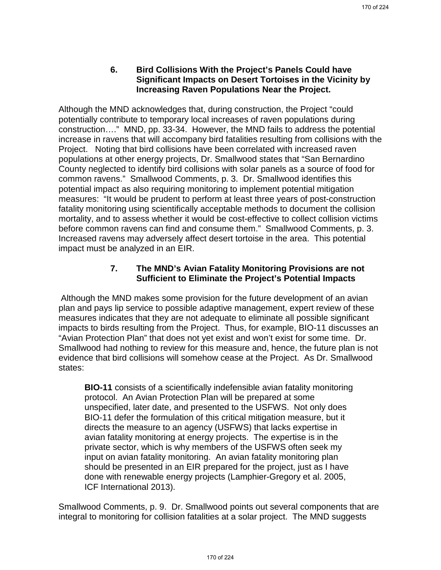# **6. Bird Collisions With the Project's Panels Could have Significant Impacts on Desert Tortoises in the Vicinity by Increasing Raven Populations Near the Project.**

Although the MND acknowledges that, during construction, the Project "could potentially contribute to temporary local increases of raven populations during construction…." MND, pp. 33-34. However, the MND fails to address the potential increase in ravens that will accompany bird fatalities resulting from collisions with the Project. Noting that bird collisions have been correlated with increased raven populations at other energy projects, Dr. Smallwood states that "San Bernardino County neglected to identify bird collisions with solar panels as a source of food for common ravens." Smallwood Comments, p. 3. Dr. Smallwood identifies this potential impact as also requiring monitoring to implement potential mitigation measures: "It would be prudent to perform at least three years of post-construction fatality monitoring using scientifically acceptable methods to document the collision mortality, and to assess whether it would be cost-effective to collect collision victims before common ravens can find and consume them." Smallwood Comments, p. 3. Increased ravens may adversely affect desert tortoise in the area. This potential impact must be analyzed in an EIR.

# **7. The MND's Avian Fatality Monitoring Provisions are not Sufficient to Eliminate the Project's Potential Impacts**

Although the MND makes some provision for the future development of an avian plan and pays lip service to possible adaptive management, expert review of these measures indicates that they are not adequate to eliminate all possible significant impacts to birds resulting from the Project. Thus, for example, BIO-11 discusses an "Avian Protection Plan" that does not yet exist and won't exist for some time. Dr. Smallwood had nothing to review for this measure and, hence, the future plan is not evidence that bird collisions will somehow cease at the Project. As Dr. Smallwood states:

**BIO-11** consists of a scientifically indefensible avian fatality monitoring protocol. An Avian Protection Plan will be prepared at some unspecified, later date, and presented to the USFWS. Not only does BIO-11 defer the formulation of this critical mitigation measure, but it directs the measure to an agency (USFWS) that lacks expertise in avian fatality monitoring at energy projects. The expertise is in the private sector, which is why members of the USFWS often seek my input on avian fatality monitoring. An avian fatality monitoring plan should be presented in an EIR prepared for the project, just as I have done with renewable energy projects (Lamphier-Gregory et al. 2005, ICF International 2013).

Smallwood Comments, p. 9. Dr. Smallwood points out several components that are integral to monitoring for collision fatalities at a solar project. The MND suggests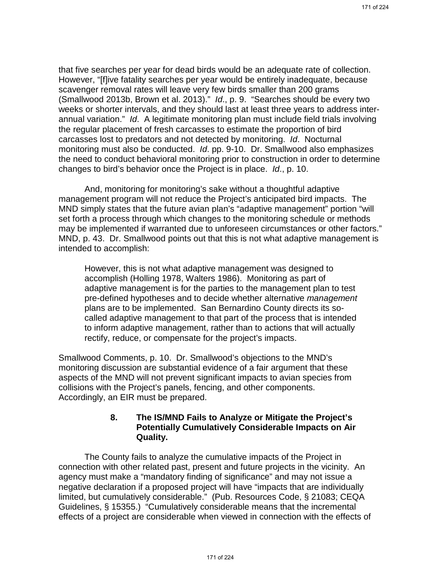that five searches per year for dead birds would be an adequate rate of collection. However, "[f]ive fatality searches per year would be entirely inadequate, because scavenger removal rates will leave very few birds smaller than 200 grams (Smallwood 2013b, Brown et al. 2013)." *Id*., p. 9. "Searches should be every two weeks or shorter intervals, and they should last at least three years to address interannual variation." *Id*. A legitimate monitoring plan must include field trials involving the regular placement of fresh carcasses to estimate the proportion of bird carcasses lost to predators and not detected by monitoring. *Id*. Nocturnal monitoring must also be conducted. *Id*. pp. 9-10. Dr. Smallwood also emphasizes the need to conduct behavioral monitoring prior to construction in order to determine changes to bird's behavior once the Project is in place. *Id*., p. 10.

And, monitoring for monitoring's sake without a thoughtful adaptive management program will not reduce the Project's anticipated bird impacts. The MND simply states that the future avian plan's "adaptive management" portion "will set forth a process through which changes to the monitoring schedule or methods may be implemented if warranted due to unforeseen circumstances or other factors." MND, p. 43. Dr. Smallwood points out that this is not what adaptive management is intended to accomplish:

However, this is not what adaptive management was designed to accomplish (Holling 1978, Walters 1986). Monitoring as part of adaptive management is for the parties to the management plan to test pre-defined hypotheses and to decide whether alternative *management* plans are to be implemented. San Bernardino County directs its socalled adaptive management to that part of the process that is intended to inform adaptive management, rather than to actions that will actually rectify, reduce, or compensate for the project's impacts.

Smallwood Comments, p. 10. Dr. Smallwood's objections to the MND's monitoring discussion are substantial evidence of a fair argument that these aspects of the MND will not prevent significant impacts to avian species from collisions with the Project's panels, fencing, and other components. Accordingly, an EIR must be prepared.

### **8. The IS/MND Fails to Analyze or Mitigate the Project's Potentially Cumulatively Considerable Impacts on Air Quality.**

The County fails to analyze the cumulative impacts of the Project in connection with other related past, present and future projects in the vicinity. An agency must make a "mandatory finding of significance" and may not issue a negative declaration if a proposed project will have "impacts that are individually limited, but cumulatively considerable." (Pub. Resources Code, § 21083; CEQA Guidelines, § 15355.) "Cumulatively considerable means that the incremental effects of a project are considerable when viewed in connection with the effects of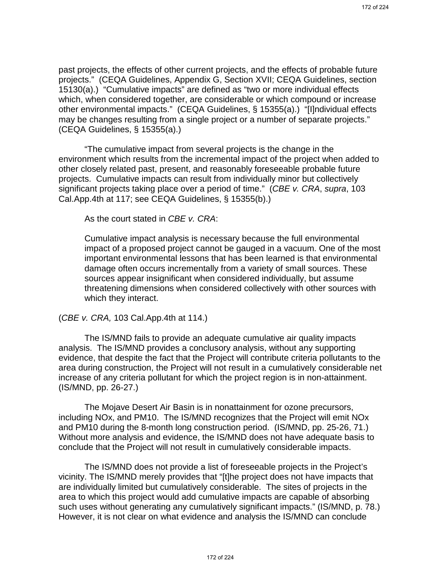past projects, the effects of other current projects, and the effects of probable future projects." (CEQA Guidelines, Appendix G, Section XVII; CEQA Guidelines, section 15130(a).) "Cumulative impacts" are defined as "two or more individual effects which, when considered together, are considerable or which compound or increase other environmental impacts." (CEQA Guidelines, § 15355(a).) "[I]ndividual effects may be changes resulting from a single project or a number of separate projects." (CEQA Guidelines, § 15355(a).)

"The cumulative impact from several projects is the change in the environment which results from the incremental impact of the project when added to other closely related past, present, and reasonably foreseeable probable future projects. Cumulative impacts can result from individually minor but collectively significant projects taking place over a period of time." (*CBE v. CRA*, *supra*, 103 Cal.App.4th at 117; see CEQA Guidelines, § 15355(b).)

As the court stated in *CBE v. CRA*:

Cumulative impact analysis is necessary because the full environmental impact of a proposed project cannot be gauged in a vacuum. One of the most important environmental lessons that has been learned is that environmental damage often occurs incrementally from a variety of small sources. These sources appear insignificant when considered individually, but assume threatening dimensions when considered collectively with other sources with which they interact.

#### (*CBE v. CRA,* 103 Cal.App.4th at 114.)

The IS/MND fails to provide an adequate cumulative air quality impacts analysis. The IS/MND provides a conclusory analysis, without any supporting evidence, that despite the fact that the Project will contribute criteria pollutants to the area during construction, the Project will not result in a cumulatively considerable net increase of any criteria pollutant for which the project region is in non-attainment. (IS/MND, pp. 26-27.)

The Mojave Desert Air Basin is in nonattainment for ozone precursors, including NOx, and PM10. The IS/MND recognizes that the Project will emit NOx and PM10 during the 8-month long construction period. (IS/MND, pp. 25-26, 71.) Without more analysis and evidence, the IS/MND does not have adequate basis to conclude that the Project will not result in cumulatively considerable impacts.

The IS/MND does not provide a list of foreseeable projects in the Project's vicinity. The IS/MND merely provides that "[t]he project does not have impacts that are individually limited but cumulatively considerable. The sites of projects in the area to which this project would add cumulative impacts are capable of absorbing such uses without generating any cumulatively significant impacts." (IS/MND, p. 78.) However, it is not clear on what evidence and analysis the IS/MND can conclude